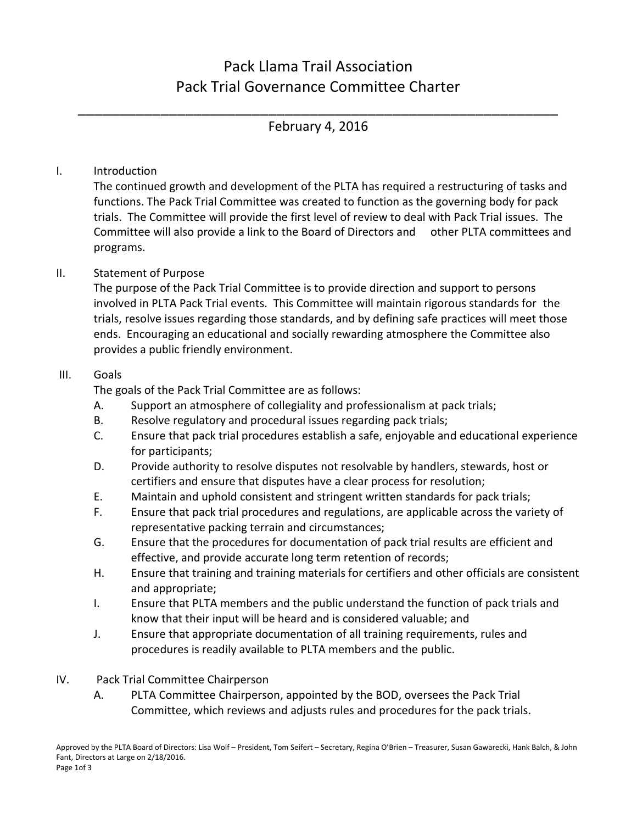# Pack Llama Trail Association Pack Trial Governance Committee Charter

\_\_\_\_\_\_\_\_\_\_\_\_\_\_\_\_\_\_\_\_\_\_\_\_\_\_\_\_\_\_\_\_\_\_\_\_\_\_\_\_\_\_\_\_\_\_\_\_\_\_\_\_\_\_\_\_\_\_ February 4, 2016

## I. Introduction

The continued growth and development of the PLTA has required a restructuring of tasks and functions. The Pack Trial Committee was created to function as the governing body for pack trials. The Committee will provide the first level of review to deal with Pack Trial issues. The Committee will also provide a link to the Board of Directors and other PLTA committees and programs.

### II. Statement of Purpose

The purpose of the Pack Trial Committee is to provide direction and support to persons involved in PLTA Pack Trial events. This Committee will maintain rigorous standards for the trials, resolve issues regarding those standards, and by defining safe practices will meet those ends. Encouraging an educational and socially rewarding atmosphere the Committee also provides a public friendly environment.

#### III. Goals

The goals of the Pack Trial Committee are as follows:

- A. Support an atmosphere of collegiality and professionalism at pack trials;
- B. Resolve regulatory and procedural issues regarding pack trials;
- C. Ensure that pack trial procedures establish a safe, enjoyable and educational experience for participants;
- D. Provide authority to resolve disputes not resolvable by handlers, stewards, host or certifiers and ensure that disputes have a clear process for resolution;
- E. Maintain and uphold consistent and stringent written standards for pack trials;
- F. Ensure that pack trial procedures and regulations, are applicable across the variety of representative packing terrain and circumstances;
- G. Ensure that the procedures for documentation of pack trial results are efficient and effective, and provide accurate long term retention of records;
- H. Ensure that training and training materials for certifiers and other officials are consistent and appropriate;
- I. Ensure that PLTA members and the public understand the function of pack trials and know that their input will be heard and is considered valuable; and
- J. Ensure that appropriate documentation of all training requirements, rules and procedures is readily available to PLTA members and the public.
- IV. Pack Trial Committee Chairperson
	- A. PLTA Committee Chairperson, appointed by the BOD, oversees the Pack Trial Committee, which reviews and adjusts rules and procedures for the pack trials.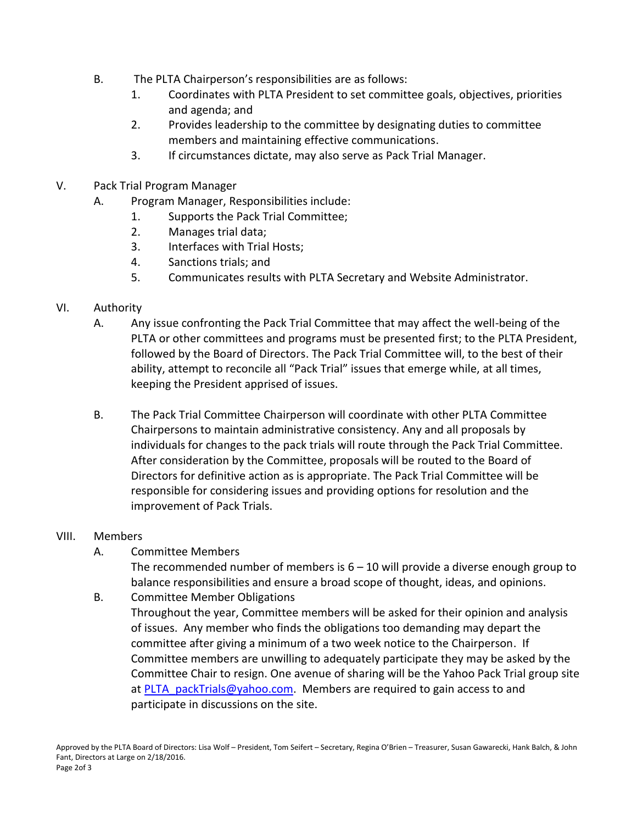- B. The PLTA Chairperson's responsibilities are as follows:
	- 1. Coordinates with PLTA President to set committee goals, objectives, priorities and agenda; and
	- 2. Provides leadership to the committee by designating duties to committee members and maintaining effective communications.
	- 3. If circumstances dictate, may also serve as Pack Trial Manager.
- V. Pack Trial Program Manager
	- A. Program Manager, Responsibilities include:
		- 1. Supports the Pack Trial Committee;
		- 2. Manages trial data;
		- 3. Interfaces with Trial Hosts;
		- 4. Sanctions trials; and
		- 5. Communicates results with PLTA Secretary and Website Administrator.

#### VI. Authority

- A. Any issue confronting the Pack Trial Committee that may affect the well-being of the PLTA or other committees and programs must be presented first; to the PLTA President, followed by the Board of Directors. The Pack Trial Committee will, to the best of their ability, attempt to reconcile all "Pack Trial" issues that emerge while, at all times, keeping the President apprised of issues.
- B. The Pack Trial Committee Chairperson will coordinate with other PLTA Committee Chairpersons to maintain administrative consistency. Any and all proposals by individuals for changes to the pack trials will route through the Pack Trial Committee. After consideration by the Committee, proposals will be routed to the Board of Directors for definitive action as is appropriate. The Pack Trial Committee will be responsible for considering issues and providing options for resolution and the improvement of Pack Trials.

#### VIII. Members

A. Committee Members

The recommended number of members is  $6 - 10$  will provide a diverse enough group to balance responsibilities and ensure a broad scope of thought, ideas, and opinions.

- B. Committee Member Obligations
	- Throughout the year, Committee members will be asked for their opinion and analysis of issues. Any member who finds the obligations too demanding may depart the committee after giving a minimum of a two week notice to the Chairperson. If Committee members are unwilling to adequately participate they may be asked by the Committee Chair to resign. One avenue of sharing will be the Yahoo Pack Trial group site at PLTA packTrials@yahoo.com. Members are required to gain access to and participate in discussions on the site.